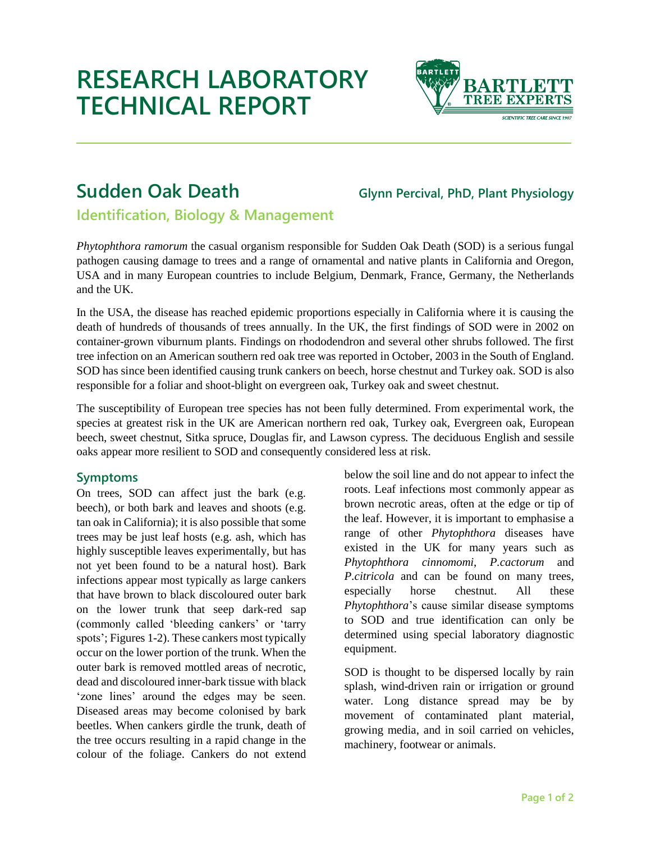# **RESEARCH LABORATORY TECHNICAL REPORT**



# **Sudden Oak Death Glynn Percival, PhD, Plant Physiology**

**Identification, Biology & Management**

*Phytophthora ramorum* the casual organism responsible for Sudden Oak Death (SOD) is a serious fungal pathogen causing damage to trees and a range of ornamental and native plants in California and Oregon, USA and in many European countries to include Belgium, Denmark, France, Germany, the Netherlands and the UK.

In the USA, the disease has reached epidemic proportions especially in California where it is causing the death of hundreds of thousands of trees annually. In the UK, the first findings of SOD were in 2002 on container-grown viburnum plants. Findings on rhododendron and several other shrubs followed. The first tree infection on an American southern red oak tree was reported in October, 2003 in the South of England. SOD has since been identified causing trunk cankers on beech, horse chestnut and Turkey oak. SOD is also responsible for a foliar and shoot-blight on evergreen oak, Turkey oak and sweet chestnut.

The susceptibility of European tree species has not been fully determined. From experimental work, the species at greatest risk in the UK are American northern red oak, Turkey oak, Evergreen oak, European beech, sweet chestnut, Sitka spruce, Douglas fir, and Lawson cypress*.* The deciduous English and sessile oaks appear more resilient to SOD and consequently considered less at risk.

## **Symptoms**

On trees, SOD can affect just the bark (e.g. beech), or both bark and leaves and shoots (e.g. tan oak in California); it is also possible that some trees may be just leaf hosts (e.g. ash, which has highly susceptible leaves experimentally, but has not yet been found to be a natural host). Bark infections appear most typically as large cankers that have brown to black discoloured outer bark on the lower trunk that seep dark-red sap (commonly called 'bleeding cankers' or 'tarry spots'; Figures 1-2). These cankers most typically occur on the lower portion of the trunk. When the outer bark is removed mottled areas of necrotic, dead and discoloured inner-bark tissue with black 'zone lines' around the edges may be seen. Diseased areas may become colonised by bark beetles. When cankers girdle the trunk, death of the tree occurs resulting in a rapid change in the colour of the foliage. Cankers do not extend

below the soil line and do not appear to infect the roots. Leaf infections most commonly appear as brown necrotic areas, often at the edge or tip of the leaf. However, it is important to emphasise a range of other *Phytophthora* diseases have existed in the UK for many years such as *Phytophthora cinnomomi*, *P.cactorum* and *P.citricola* and can be found on many trees, especially horse chestnut. All these *Phytophthora*'s cause similar disease symptoms to SOD and true identification can only be determined using special laboratory diagnostic equipment.

SOD is thought to be dispersed locally by rain splash, wind-driven rain or irrigation or ground water. Long distance spread may be by movement of contaminated plant material, growing media, and in soil carried on vehicles, machinery, footwear or animals.